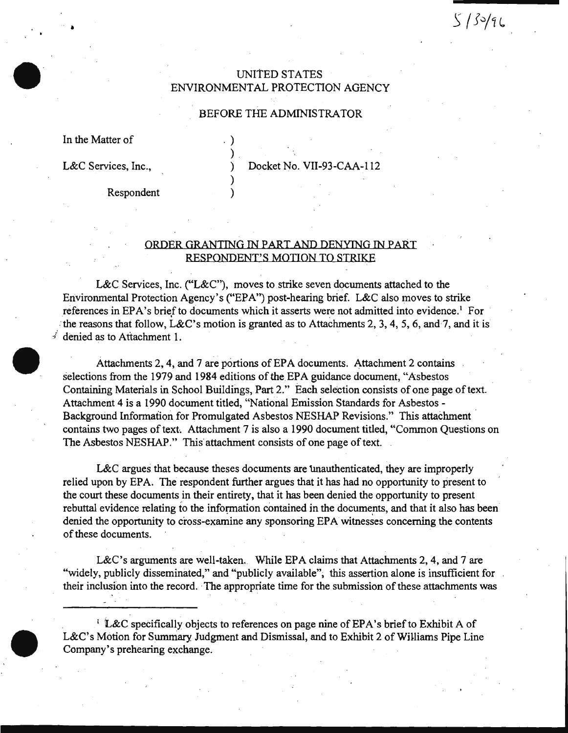## UNitED STATES ENVIRONMENTAL PROTECTION AGENCY

### BEFORE THE ADMINISTRATOR

. ) )

> ) )

In the Matter of

L&C Services, Inc.,

•

) Docket No. VII-93-CAA-112

 $513996$ 

Respondent

## ORDER GRANTING IN PART AND DENYING IN PARI RESPONDENT'S MOTION TO STRIKE

L&C Services, Inc. ("L&C"), moves to strike seven documents attached to the Environmental Protection Agency's ("EPA") post-hearing brief. L&C also moves to strike references in EPA's brief to documents which it asserts were not admitted into evidence.<sup>1</sup> For the reasons that follow, L&C's motion is granted as to Attachments 2, 3, 4, 5, 6, and 7, and it is  $\frac{1}{2}$  denied as to Attachment 1.

Attachments 2, 4, and 7 are portions of EPA docwnents. Attachment 2 contains selections from the 1979 and 1984 editions of the EPA guidance docwnent, "Asbestos Containing Materials in School Buildings, Part 2." Each selection consists of one page of text. Attachment 4 is a 1990 docwnent titled, "National Emission Standards for Asbestos - Background Information for Promulgated Asbestos NESHAP Revisions." This attachment contains two pages of text. Attachment 7 is also a 1990 docwnent titled, "Common Questions on The Asbestos NESHAP." This attachment consists of one page of text.

L&C argues that because theses documents are unauthenticated, they are improperly relied upon by EPA. The respondent further argues that it has had no opportunity to present to the court these docwnents in their entirety, that it has been denied the opportunity to present rebuttal evidence relating to the information contained in the documents, and that it also has been denied the opportunity to cross-examine any sponsoring EPA witnesses concerning the contents of these docwnents.

L&C's arguments are well-taken. While EPA claims that Attachments 2, 4, and 7 are "widely, publicly disseminated," and "publicly available"; this assertion alone is insufficient for their inclusion into the record. The appropriate time for the submission of these attachments was

<sup>1</sup> L&C specifically objects to references on page nine of EPA's brief to Exhibit A of L&C's Motion for Summary Judgment and Dismissal, and to Exhibit 2 of Williams Pipe Line Company's prehearing exchange.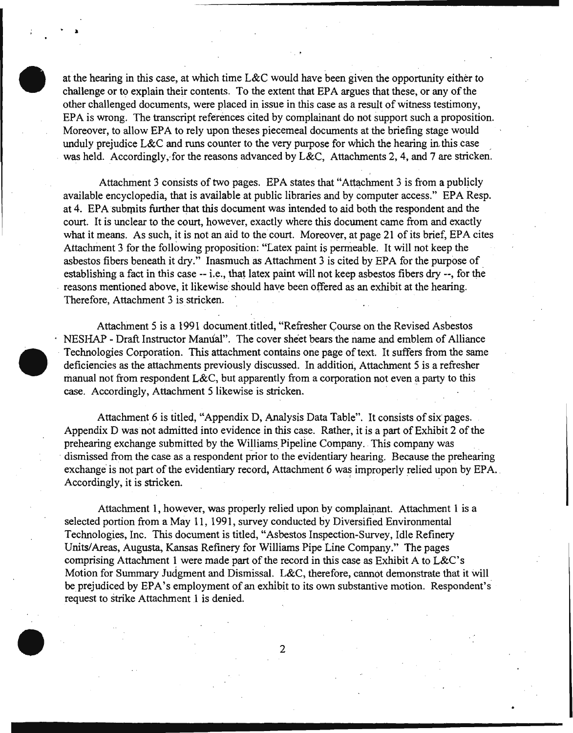at the hearing in this case, at which time  $L&C$  would have been given the opportunity either to challenge or to explain their contents. To the extent that EPA argues that these, or any of the other challenged documents, were placed in issue in this case as a result of witness testimony, EPA is wrong. The transcript references cited by complainant do not support such a proposition. Moreover, to allow EPA to rely upon theses piecemeal documents at the briefing stage would unduly prejudice L&C and runs counter to the very purpose for which the hearing in this case was held. Accordingly, for the reasons advanced by L&C, Attachments 2, 4, and 7 are stricken.

 $\cdot$  .  $\cdot$ 

Attachment 3 consists of two pages. EPA states that "Attachment 3 is from a publicly available encyclopedia, that is available at public libraries and by computer access." EPA Resp. at 4. EPA submits further that this document was intended to aid both the respondent and the court. It is unclear to the court, however, exactly where this document came from and exactly what it means. As such, it is not an aid to the court. Moreover, at page 21 of its brief, EPA cites Attachment 3 for the following proposition: "Latex paint is permeable. It will not keep the asbestos fibers beneath it dry." Inasmuch as Attachment 3 is cited by EPA for the purpose of establishing a fact in this case -- i.e., that latex paint will not keep asbestos fibers dry --, for the . reasons mentioned above, it likewise should have been offered as an exhibit at the hearing. Therefore, Attachment 3 is stricken.

Attachment 5 is a 1991 document.titled, "Refresher Course on the Revised Asbestos NESHAP - Draft Instructor Manual". The cover sheet bears the name and emblem of Alliance Technologies Corporation. This attachment contains one page of text. It suffers from the same deficiencies as the attachments previously discussed. In addition, Attachment 5 is a refresher manual not from respondent  $L&C$ , but apparently from a corporation not even a party to this case. Accordingly, Attachment 5 likewise is stricken.

Attachment 6 is titled, "Appendix D, Analysis Data Table". It consists of six· pages. Appendix D was not admitted into evidence in this case. Rather, it is a part of Exhibit 2 of the prehearing exchange submitted by the Williams Pipeline Company. This company was dismissed from the case as a respondent prior to the evidentiary hearing. Because the prehearing exchange is not part of the evidentiary record, Attachment 6 was improperly relied upon by EPA. Accordingly, it is stricken.

Attachment 1, however, was properly relied upon by complainant. Attachment 1 is a selected portion from a May 11, 1991, survey conducted by Diversified Environmental Technologies, Inc. This document is titled, "Asbestos Inspection-Survey, Idle Refinery Units/Areas, Augusta, Kansas Refinery for Williams Pipe Line Company." The pages comprising Attachment 1 were made part of the record in this case as Exhibit A to L&C's Motion for Summary Judgment and Dismissal. L&C, therefore, cannot demonstrate that it will be prejudiced by EPA's employment of an exhibit to its own substantive motion. Respondent's request to strike Attachment 1 is denied.

2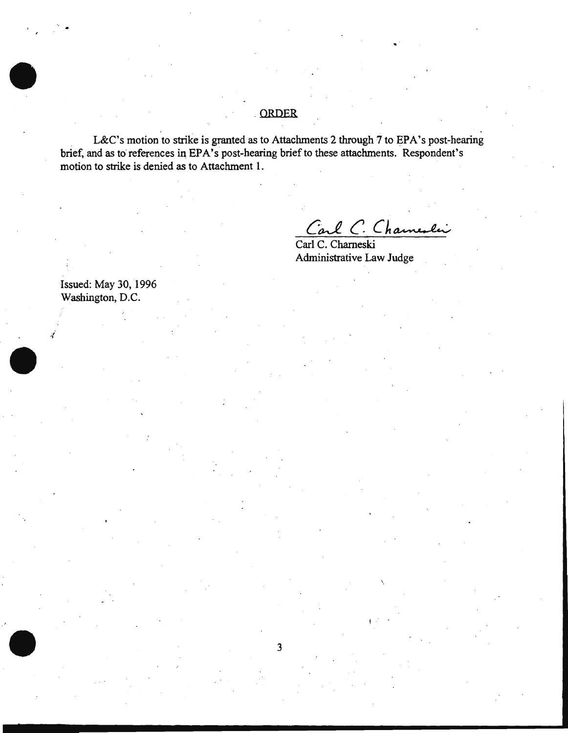# . ORDER

. The contract of the contract of the contract of the contract of the contract of the contract of the contract of the contract of the contract of the contract of the contract of the contract of the contract of the contrac

L&C's motion to strike is granted as to Attachments 2 through 7 to EPA's post-hearing brief, and as to references in EPA's post-hearing brief to these attachments. Respondent's motion to strike is denied as to Attachment 1.

3

Carl C. Chameslei

'.

I .·

.. -

Carl C. Chameski Administrative Law Judge

Issued: May 30, 1996 Washington, D.C.

· I ..,